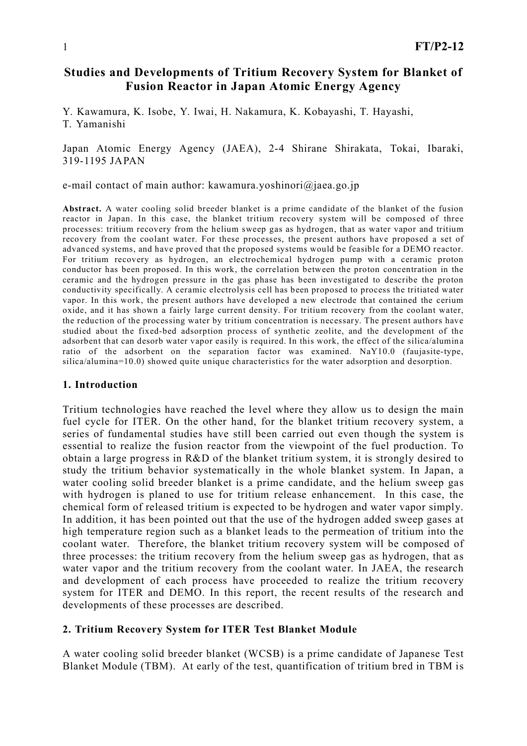# Studies and Developments of Tritium Recovery System for Blanket of Fusion Reactor in Japan Atomic Energy Agency

Y. Kawamura, K. Isobe, Y. Iwai, H. Nakamura, K. Kobayashi, T. Hayashi, T. Yamanishi

### Japan Atomic Energy Agency (JAEA), 2-4 Shirane Shirakata, Tokai, Ibaraki, 319-1195 JAPAN

e-mail contact of main author: kawamura.yoshinori@jaea.go.jp

Abstract. A water cooling solid breeder blanket is a prime candidate of the blanket of the fusion reactor in Japan. In this case, the blanket tritium recovery system will be composed of three processes: tritium recovery from the helium sweep gas as hydrogen, that as water vapor and tritium recovery from the coolant water. For these processes, the present authors have proposed a set of advanced systems, and have proved that the proposed systems would be feasible for a DEMO reactor. For tritium recovery as hydrogen, an electrochemical hydrogen pump with a ceramic proton conductor has been proposed. In this work, the correlation between the proton concentration in the ceramic and the hydrogen pressure in the gas phase has been investigated to describe the proton conductivity specifically. A ceramic electrolysis cell has been proposed to process the tritiated water vapor. In this work, the present authors have developed a new electrode that contained the cerium oxide, and it has shown a fairly large current density. For tritium recovery from the coolant water, the reduction of the processing water by tritium concentration is necessary. The present authors have studied about the fixed-bed adsorption process of synthetic zeolite, and the development of the adsorbent that can desorb water vapor easily is required. In this work, the effect of the silica/alumina ratio of the adsorbent on the separation factor was examined. NaY10.0 (faujasite-type, silica/alumina=10.0) showed quite unique characteristics for the water adsorption and desorption.

#### 1. Introduction

Tritium technologies have reached the level where they allow us to design the main fuel cycle for ITER. On the other hand, for the blanket tritium recovery system, a series of fundamental studies have still been carried out even though the system is essential to realize the fusion reactor from the viewpoint of the fuel production. To obtain a large progress in R&D of the blanket tritium system, it is strongly desired to study the tritium behavior systematically in the whole blanket system. In Japan, a water cooling solid breeder blanket is a prime candidate, and the helium sweep gas with hydrogen is planed to use for tritium release enhancement. In this case, the chemical form of released tritium is expected to be hydrogen and water vapor simply. In addition, it has been pointed out that the use of the hydrogen added sweep gases at high temperature region such as a blanket leads to the permeation of tritium into the coolant water. Therefore, the blanket tritium recovery system will be composed of three processes: the tritium recovery from the helium sweep gas as hydrogen, that as water vapor and the tritium recovery from the coolant water. In JAEA, the research and development of each process have proceeded to realize the tritium recovery system for ITER and DEMO. In this report, the recent results of the research and developments of these processes are described.

# 2. Tritium Recovery System for ITER Test Blanket Module

A water cooling solid breeder blanket (WCSB) is a prime candidate of Japanese Test Blanket Module (TBM). At early of the test, quantification of tritium bred in TBM is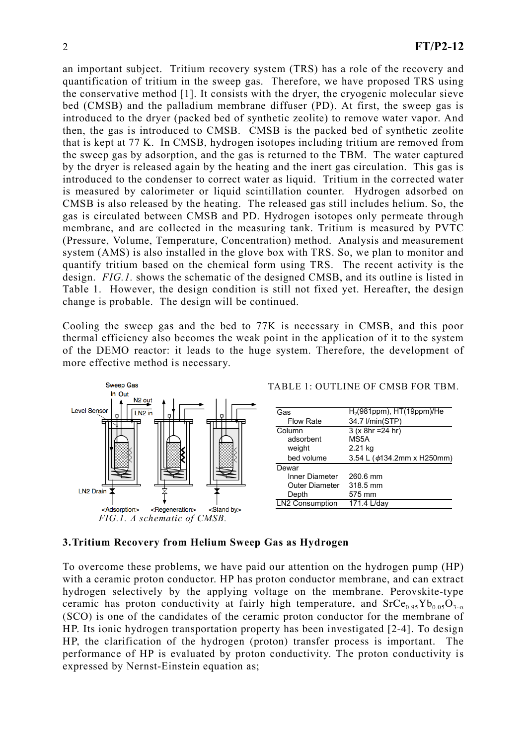an important subject. Tritium recovery system (TRS) has a role of the recovery and quantification of tritium in the sweep gas. Therefore, we have proposed TRS using the conservative method [1]. It consists with the dryer, the cryogenic molecular sieve bed (CMSB) and the palladium membrane diffuser (PD). At first, the sweep gas is introduced to the dryer (packed bed of synthetic zeolite) to remove water vapor. And then, the gas is introduced to CMSB. CMSB is the packed bed of synthetic zeolite that is kept at 77 K. In CMSB, hydrogen isotopes including tritium are removed from the sweep gas by adsorption, and the gas is returned to the TBM. The water captured by the dryer is released again by the heating and the inert gas circulation. This gas is introduced to the condenser to correct water as liquid. Tritium in the corrected water is measured by calorimeter or liquid scintillation counter. Hydrogen adsorbed on CMSB is also released by the heating. The released gas still includes helium. So, the gas is circulated between CMSB and PD. Hydrogen isotopes only permeate through membrane, and are collected in the measuring tank. Tritium is measured by PVTC (Pressure, Volume, Temperature, Concentration) method. Analysis and measurement system (AMS) is also installed in the glove box with TRS. So, we plan to monitor and quantify tritium based on the chemical form using TRS. The recent activity is the design. *FIG.1.* shows the schematic of the designed CMSB, and its outline is listed in Table 1. However, the design condition is still not fixed yet. Hereafter, the design change is probable. The design will be continued.

Cooling the sweep gas and the bed to 77K is necessary in CMSB, and this poor thermal efficiency also becomes the weak point in the application of it to the system of the DEMO reactor: it leads to the huge system. Therefore, the development of more effective method is necessary.



#### 3.Tritium Recovery from Helium Sweep Gas as Hydrogen

To overcome these problems, we have paid our attention on the hydrogen pump (HP) with a ceramic proton conductor. HP has proton conductor membrane, and can extract hydrogen selectively by the applying voltage on the membrane. Perovskite-type ceramic has proton conductivity at fairly high temperature, and  $SrCe<sub>0.95</sub>Yb<sub>0.05</sub>O<sub>3-a</sub>$ (SCO) is one of the candidates of the ceramic proton conductor for the membrane of HP. Its ionic hydrogen transportation property has been investigated [2-4]. To design HP, the clarification of the hydrogen (proton) transfer process is important. The performance of HP is evaluated by proton conductivity. The proton conductivity is expressed by Nernst-Einstein equation as;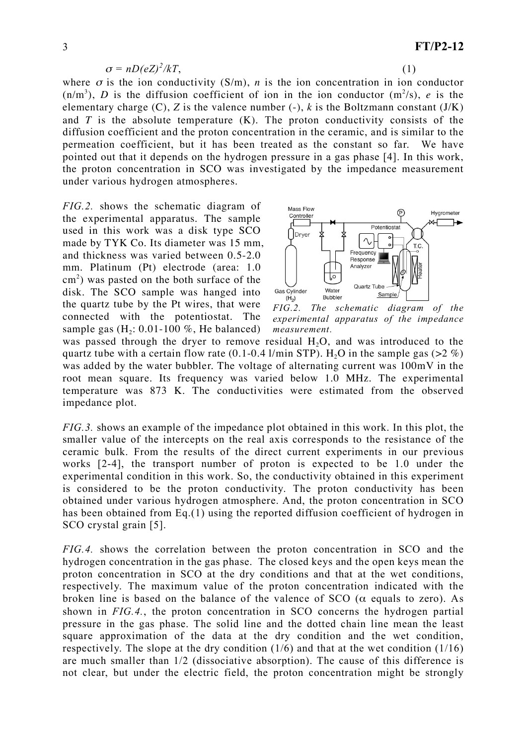$$
\sigma = nD(eZ)^2/kT,\tag{1}
$$

$$
\overline{1}
$$

where  $\sigma$  is the ion conductivity (S/m), *n* is the ion concentration in ion conductor  $(n/m<sup>3</sup>)$ , *D* is the diffusion coefficient of ion in the ion conductor  $(m<sup>2</sup>/s)$ , *e* is the elementary charge  $(C)$ ,  $Z$  is the valence number  $(-)$ ,  $k$  is the Boltzmann constant  $(J/K)$ and  $T$  is the absolute temperature  $(K)$ . The proton conductivity consists of the diffusion coefficient and the proton concentration in the ceramic, and is similar to the permeation coefficient, but it has been treated as the constant so far. We have pointed out that it depends on the hydrogen pressure in a gas phase [4]. In this work, the proton concentration in SCO was investigated by the impedance measurement under various hydrogen atmospheres.

*FIG.2.* shows the schematic diagram of the experimental apparatus. The sample used in this work was a disk type SCO made by TYK Co. Its diameter was 15 mm, and thickness was varied between 0.5-2.0 mm. Platinum (Pt) electrode (area: 1.0  $\text{cm}^2$ ) was pasted on the both surface of the disk. The SCO sample was hanged into the quartz tube by the Pt wires, that were connected with the potentiostat. The sample gas  $(H_2: 0.01-100 \%)$ , He balanced)



*FIG.2. The schematic diagram of the experimental apparatus of the impedance measurement.* 

was passed through the dryer to remove residual  $H_2O$ , and was introduced to the quartz tube with a certain flow rate (0.1-0.4 l/min STP). H<sub>2</sub>O in the sample gas ( $>2\%$ ) was added by the water bubbler. The voltage of alternating current was 100mV in the root mean square. Its frequency was varied below 1.0 MHz. The experimental temperature was 873 K. The conductivities were estimated from the observed impedance plot.

*FIG.3.* shows an example of the impedance plot obtained in this work. In this plot, the smaller value of the intercepts on the real axis corresponds to the resistance of the ceramic bulk. From the results of the direct current experiments in our previous works [2-4], the transport number of proton is expected to be 1.0 under the experimental condition in this work. So, the conductivity obtained in this experiment is considered to be the proton conductivity. The proton conductivity has been obtained under various hydrogen atmosphere. And, the proton concentration in SCO has been obtained from Eq.(1) using the reported diffusion coefficient of hydrogen in SCO crystal grain [5].

*FIG.4.* shows the correlation between the proton concentration in SCO and the hydrogen concentration in the gas phase. The closed keys and the open keys mean the proton concentration in SCO at the dry conditions and that at the wet conditions, respectively. The maximum value of the proton concentration indicated with the broken line is based on the balance of the valence of SCO ( $\alpha$  equals to zero). As shown in *FIG.4.*, the proton concentration in SCO concerns the hydrogen partial pressure in the gas phase. The solid line and the dotted chain line mean the least square approximation of the data at the dry condition and the wet condition, respectively. The slope at the dry condition  $(1/6)$  and that at the wet condition  $(1/16)$ are much smaller than 1/2 (dissociative absorption). The cause of this difference is not clear, but under the electric field, the proton concentration might be strongly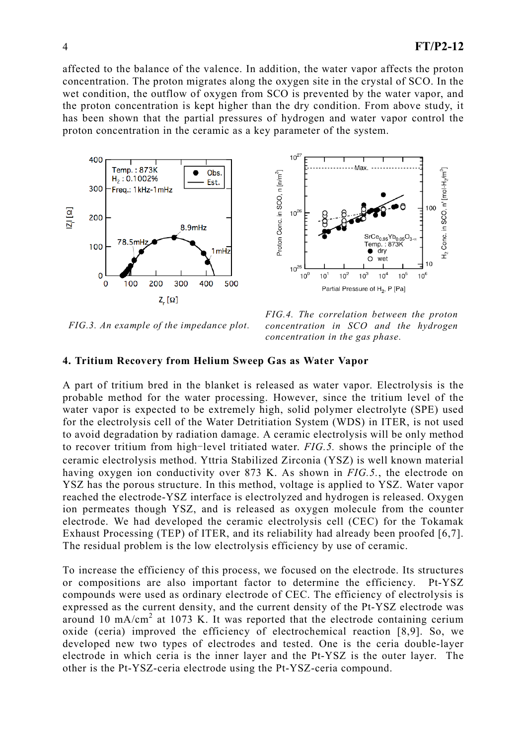affected to the balance of the valence. In addition, the water vapor affects the proton concentration. The proton migrates along the oxygen site in the crystal of SCO. In the wet condition, the outflow of oxygen from SCO is prevented by the water vapor, and the proton concentration is kept higher than the dry condition. From above study, it has been shown that the partial pressures of hydrogen and water vapor control the proton concentration in the ceramic as a key parameter of the system.



*FIG.3. An example of the impedance plot.* 

*FIG.4. The correlation between the proton concentration in SCO and the hydrogen concentration in the gas phase.* 

### 4. Tritium Recovery from Helium Sweep Gas as Water Vapor

A part of tritium bred in the blanket is released as water vapor. Electrolysis is the probable method for the water processing. However, since the tritium level of the water vapor is expected to be extremely high, solid polymer electrolyte (SPE) used for the electrolysis cell of the Water Detritiation System (WDS) in ITER, is not used to avoid degradation by radiation damage. A ceramic electrolysis will be only method to recover tritium from high-level tritiated water. *FIG.5*, shows the principle of the ceramic electrolysis method. Yttria Stabilized Zirconia (YSZ) is well known material having oxygen ion conductivity over 873 K. As shown in *FIG.5.*, the electrode on YSZ has the porous structure. In this method, voltage is applied to YSZ. Water vapor reached the electrode-YSZ interface is electrolyzed and hydrogen is released. Oxygen ion permeates though YSZ, and is released as oxygen molecule from the counter electrode. We had developed the ceramic electrolysis cell (CEC) for the Tokamak Exhaust Processing (TEP) of ITER, and its reliability had already been proofed [6,7]. The residual problem is the low electrolysis efficiency by use of ceramic.

To increase the efficiency of this process, we focused on the electrode. Its structures or compositions are also important factor to determine the efficiency. Pt-YSZ compounds were used as ordinary electrode of CEC. The efficiency of electrolysis is expressed as the current density, and the current density of the Pt-YSZ electrode was around 10 mA/cm<sup>2</sup> at 1073 K. It was reported that the electrode containing cerium oxide (ceria) improved the efficiency of electrochemical reaction [8,9]. So, we developed new two types of electrodes and tested. One is the ceria double-layer electrode in which ceria is the inner layer and the Pt-YSZ is the outer layer. The other is the Pt-YSZ-ceria electrode using the Pt-YSZ-ceria compound.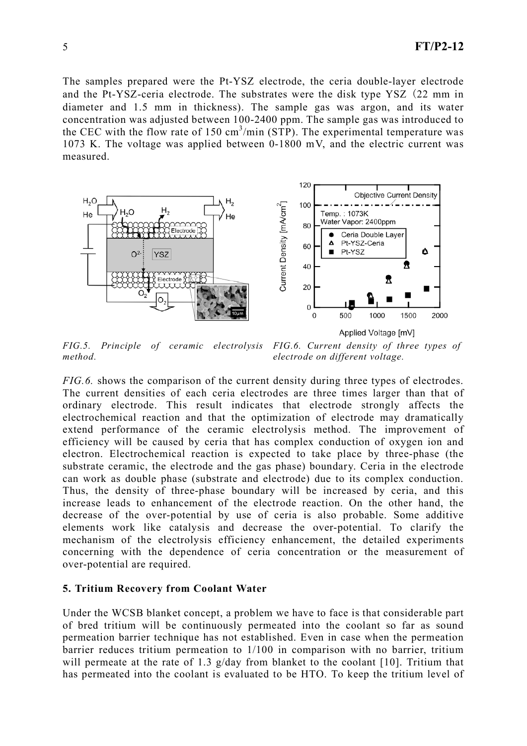The samples prepared were the Pt-YSZ electrode, the ceria double-layer electrode and the Pt-YSZ-ceria electrode. The substrates were the disk type YSZ 22 mm in diameter and 1.5 mm in thickness). The sample gas was argon, and its water concentration was adjusted between 100-2400 ppm. The sample gas was introduced to the CEC with the flow rate of 150  $\text{cm}^3/\text{min}$  (STP). The experimental temperature was 1073 K. The voltage was applied between 0-1800 mV, and the electric current was measured.



*FIG.5. Principle of ceramic electrolysis method. FIG.6. Current density of three types of electrode on different voltage.*

*FIG.6.* shows the comparison of the current density during three types of electrodes. The current densities of each ceria electrodes are three times larger than that of ordinary electrode. This result indicates that electrode strongly affects the electrochemical reaction and that the optimization of electrode may dramatically extend performance of the ceramic electrolysis method. The improvement of efficiency will be caused by ceria that has complex conduction of oxygen ion and electron. Electrochemical reaction is expected to take place by three-phase (the substrate ceramic, the electrode and the gas phase) boundary. Ceria in the electrode can work as double phase (substrate and electrode) due to its complex conduction. Thus, the density of three-phase boundary will be increased by ceria, and this increase leads to enhancement of the electrode reaction. On the other hand, the decrease of the over-potential by use of ceria is also probable. Some additive elements work like catalysis and decrease the over-potential. To clarify the mechanism of the electrolysis efficiency enhancement, the detailed experiments concerning with the dependence of ceria concentration or the measurement of over-potential are required.

#### 5. Tritium Recovery from Coolant Water

Under the WCSB blanket concept, a problem we have to face is that considerable part of bred tritium will be continuously permeated into the coolant so far as sound permeation barrier technique has not established. Even in case when the permeation barrier reduces tritium permeation to 1/100 in comparison with no barrier, tritium will permeate at the rate of 1.3 g/day from blanket to the coolant [10]. Tritium that has permeated into the coolant is evaluated to be HTO. To keep the tritium level of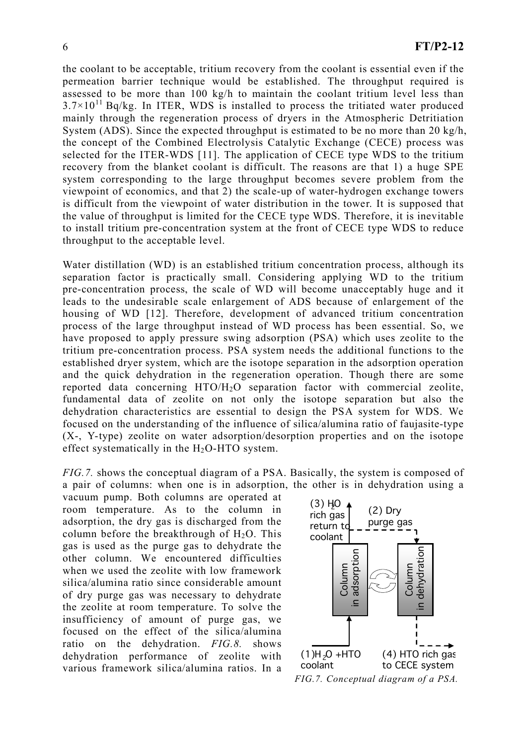the coolant to be acceptable, tritium recovery from the coolant is essential even if the permeation barrier technique would be established. The throughput required is assessed to be more than 100 kg/h to maintain the coolant tritium level less than  $3.7\times10^{11}$  Bq/kg. In ITER, WDS is installed to process the tritiated water produced mainly through the regeneration process of dryers in the Atmospheric Detritiation System (ADS). Since the expected throughput is estimated to be no more than 20 kg/h, the concept of the Combined Electrolysis Catalytic Exchange (CECE) process was selected for the ITER-WDS [11]. The application of CECE type WDS to the tritium recovery from the blanket coolant is difficult. The reasons are that 1) a huge SPE system corresponding to the large throughput becomes severe problem from the viewpoint of economics, and that 2) the scale-up of water-hydrogen exchange towers is difficult from the viewpoint of water distribution in the tower. It is supposed that the value of throughput is limited for the CECE type WDS. Therefore, it is inevitable to install tritium pre-concentration system at the front of CECE type WDS to reduce throughput to the acceptable level.

Water distillation (WD) is an established tritium concentration process, although its separation factor is practically small. Considering applying WD to the tritium pre-concentration process, the scale of WD will become unacceptably huge and it leads to the undesirable scale enlargement of ADS because of enlargement of the housing of WD [12]. Therefore, development of advanced tritium concentration process of the large throughput instead of WD process has been essential. So, we have proposed to apply pressure swing adsorption (PSA) which uses zeolite to the tritium pre-concentration process. PSA system needs the additional functions to the established dryer system, which are the isotope separation in the adsorption operation and the quick dehydration in the regeneration operation. Though there are some reported data concerning HTO/H<sub>2</sub>O separation factor with commercial zeolite, fundamental data of zeolite on not only the isotope separation but also the dehydration characteristics are essential to design the PSA system for WDS. We focused on the understanding of the influence of silica/alumina ratio of faujasite-type (X-, Y-type) zeolite on water adsorption/desorption properties and on the isotope effect systematically in the  $H_2O$ -HTO system.

*FIG.7.* shows the conceptual diagram of a PSA. Basically, the system is composed of a pair of columns: when one is in adsorption, the other is in dehydration using a

vacuum pump. Both columns are operated at room temperature. As to the column in adsorption, the dry gas is discharged from the column before the breakthrough of  $H_2O$ . This gas is used as the purge gas to dehydrate the other column. We encountered difficulties when we used the zeolite with low framework silica/alumina ratio since considerable amount of dry purge gas was necessary to dehydrate the zeolite at room temperature. To solve the insufficiency of amount of purge gas, we focused on the effect of the silica/alumina ratio on the dehydration. *FIG.8.* shows dehydration performance of zeolite with various framework silica/alumina ratios. In a

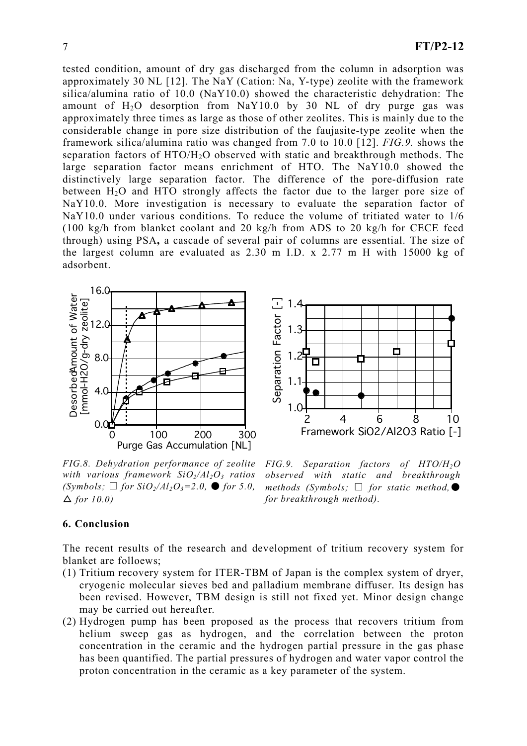tested condition, amount of dry gas discharged from the column in adsorption was approximately 30 NL [12]. The NaY (Cation: Na, Y-type) zeolite with the framework silica/alumina ratio of 10.0 (NaY10.0) showed the characteristic dehydration: The amount of  $H_2O$  desorption from NaY10.0 by 30 NL of dry purge gas was approximately three times as large as those of other zeolites. This is mainly due to the considerable change in pore size distribution of the faujasite-type zeolite when the framework silica/alumina ratio was changed from 7.0 to 10.0 [12]. *FIG.9.* shows the separation factors of HTO/H2O observed with static and breakthrough methods. The large separation factor means enrichment of HTO. The NaY10.0 showed the distinctively large separation factor. The difference of the pore-diffusion rate between  $H_2O$  and HTO strongly affects the factor due to the larger pore size of NaY10.0. More investigation is necessary to evaluate the separation factor of NaY10.0 under various conditions. To reduce the volume of tritiated water to 1/6 (100 kg/h from blanket coolant and 20 kg/h from ADS to 20 kg/h for CECE feed through) using PSA, a cascade of several pair of columns are essential. The size of the largest column are evaluated as 2.30 m I.D. x 2.77 m H with 15000 kg of adsorbent.



*FIG.8. Dehydration performance of zeolite with various framework SiO2/Al2O3 ratios*   $(Symbols; \Box$  *for*  $SiO_2/Al_2O_3=2.0$ ,  $\bullet$  *for* 5.0,  $\Delta$  for 10.0)



*FIG.9. Separation factors of HTO/H2O observed with static and breakthrough methods (Symbols;*  $\Box$  *for static method, for breakthrough method).* 

### 6. Conclusion

The recent results of the research and development of tritium recovery system for blanket are folloews;

- (1) Tritium recovery system for ITER-TBM of Japan is the complex system of dryer, cryogenic molecular sieves bed and palladium membrane diffuser. Its design has been revised. However, TBM design is still not fixed yet. Minor design change may be carried out hereafter.
- (2) Hydrogen pump has been proposed as the process that recovers tritium from helium sweep gas as hydrogen, and the correlation between the proton concentration in the ceramic and the hydrogen partial pressure in the gas phase has been quantified. The partial pressures of hydrogen and water vapor control the proton concentration in the ceramic as a key parameter of the system.